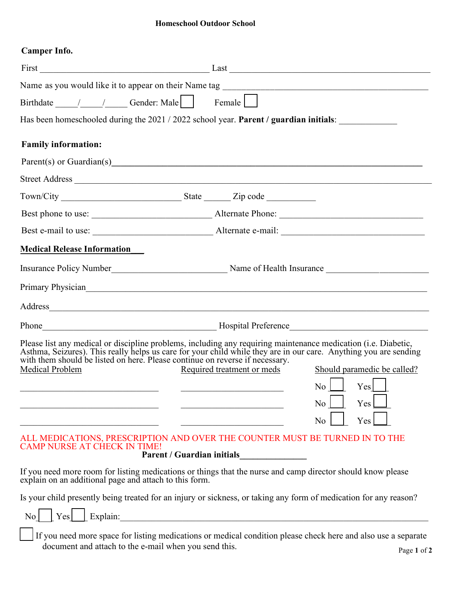# **Homeschool Outdoor School**

# **Camper Info.**

|                                                        | Female                                                                                                                                                                                                                                                                                                                                                                                                   |
|--------------------------------------------------------|----------------------------------------------------------------------------------------------------------------------------------------------------------------------------------------------------------------------------------------------------------------------------------------------------------------------------------------------------------------------------------------------------------|
|                                                        | Has been homeschooled during the 2021 / 2022 school year. Parent / guardian initials:                                                                                                                                                                                                                                                                                                                    |
| <b>Family information:</b>                             |                                                                                                                                                                                                                                                                                                                                                                                                          |
| Parent(s) or Guardian(s)                               |                                                                                                                                                                                                                                                                                                                                                                                                          |
|                                                        |                                                                                                                                                                                                                                                                                                                                                                                                          |
|                                                        |                                                                                                                                                                                                                                                                                                                                                                                                          |
|                                                        |                                                                                                                                                                                                                                                                                                                                                                                                          |
|                                                        |                                                                                                                                                                                                                                                                                                                                                                                                          |
| <b>Medical Release Information</b>                     |                                                                                                                                                                                                                                                                                                                                                                                                          |
|                                                        |                                                                                                                                                                                                                                                                                                                                                                                                          |
|                                                        | Primary Physician Primary Physician Primary Physician                                                                                                                                                                                                                                                                                                                                                    |
|                                                        |                                                                                                                                                                                                                                                                                                                                                                                                          |
|                                                        |                                                                                                                                                                                                                                                                                                                                                                                                          |
| Medical Problem                                        | Please list any medical or discipline problems, including any requiring maintenance medication (i.e. Diabetic, Asthma, Seizures). This really helps us care for your child while they are in our care. Anything you are sendin<br>Required treatment or meds<br>Should paramedic be called?<br>$\begin{array}{c c c c c} \hline \text{No} & \text{Yes} & \text{S} \end{array}$<br>Yes<br>No<br>Yes<br>No |
| <b>CAMP NURSE AT CHECK IN TIME!</b>                    | ALL MEDICATIONS, PRESCRIPTION AND OVER THE COUNTER MUST BE TURNED IN TO THE<br><b>Parent / Guardian initials</b>                                                                                                                                                                                                                                                                                         |
| explain on an additional page and attach to this form. | If you need more room for listing medications or things that the nurse and camp director should know please                                                                                                                                                                                                                                                                                              |
|                                                        | Is your child presently being treated for an injury or sickness, or taking any form of medication for any reason?                                                                                                                                                                                                                                                                                        |
| $\overline{N_0}$                                       | $\lfloor \text{Yes} \rfloor$ Explain:                                                                                                                                                                                                                                                                                                                                                                    |
| document and attach to the e-mail when you send this.  | If you need more space for listing medications or medical condition please check here and also use a separate<br>Page 1 of 2                                                                                                                                                                                                                                                                             |